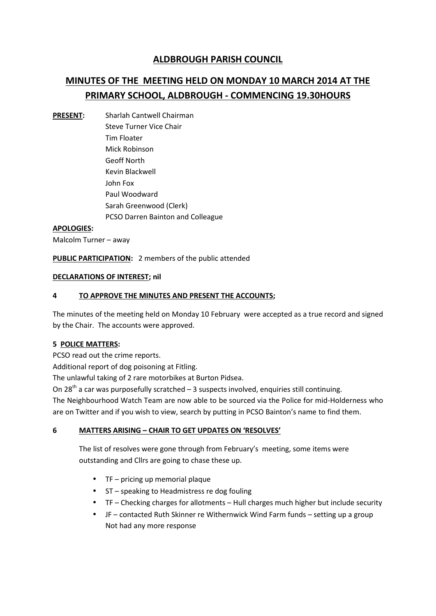# **ALDBROUGH PARISH COUNCIL**

# **MINUTES OF THE MEETING HELD ON MONDAY 10 MARCH 2014 AT THE PRIMARY SCHOOL, ALDBROUGH - COMMENCING 19.30HOURS**

**PRESENT:** Sharlah Cantwell Chairman Steve Turner Vice Chair Tim Floater Mick Robinson Geoff North Kevin Blackwell John Fox Paul Woodward Sarah Greenwood (Clerk) PCSO Darren Bainton and Colleague

#### **APOLOGIES:**

Malcolm Turner – away

**PUBLIC PARTICIPATION:** 2 members of the public attended

#### **DECLARATIONS OF INTEREST; nil**

#### **4 TO APPROVE THE MINUTES AND PRESENT THE ACCOUNTS;**

The minutes of the meeting held on Monday 10 February were accepted as a true record and signed by the Chair. The accounts were approved.

#### **5 POLICE MATTERS:**

PCSO read out the crime reports.

Additional report of dog poisoning at Fitling.

The unlawful taking of 2 rare motorbikes at Burton Pidsea.

On 28<sup>th</sup> a car was purposefully scratched  $-$  3 suspects involved, enquiries still continuing.

The Neighbourhood Watch Team are now able to be sourced via the Police for mid-Holderness who are on Twitter and if you wish to view, search by putting in PCSO Bainton's name to find them.

#### **6 MATTERS ARISING – CHAIR TO GET UPDATES ON 'RESOLVES'**

The list of resolves were gone through from February's meeting, some items were outstanding and Cllrs are going to chase these up.

- TF pricing up memorial plaque
- ST speaking to Headmistress re dog fouling
- TF Checking charges for allotments Hull charges much higher but include security
- JF contacted Ruth Skinner re Withernwick Wind Farm funds setting up a group Not had any more response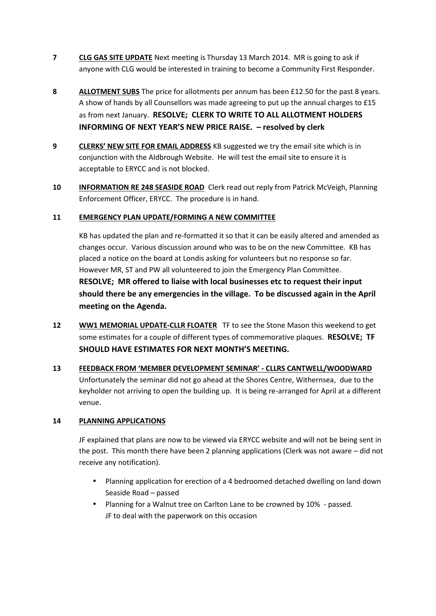- **7 CLG GAS SITE UPDATE** Next meeting is Thursday 13 March 2014. MR is going to ask if anyone with CLG would be interested in training to become a Community First Responder.
- **8 ALLOTMENT SUBS** The price for allotments per annum has been £12.50 for the past 8 years. A show of hands by all Counsellors was made agreeing to put up the annual charges to £15 as from next January. **RESOLVE; CLERK TO WRITE TO ALL ALLOTMENT HOLDERS INFORMING OF NEXT YEAR'S NEW PRICE RAISE. – resolved by clerk**
- **9 CLERKS' NEW SITE FOR EMAIL ADDRESS** KB suggested we try the email site which is in conjunction with the Aldbrough Website. He will test the email site to ensure it is acceptable to ERYCC and is not blocked.
- **10 INFORMATION RE 248 SEASIDE ROAD** Clerk read out reply from Patrick McVeigh, Planning Enforcement Officer, ERYCC. The procedure is in hand.

# **11 EMERGENCY PLAN UPDATE/FORMING A NEW COMMITTEE**

KB has updated the plan and re-formatted it so that it can be easily altered and amended as changes occur. Various discussion around who was to be on the new Committee. KB has placed a notice on the board at Londis asking for volunteers but no response so far. However MR, ST and PW all volunteered to join the Emergency Plan Committee. **RESOLVE; MR offered to liaise with local businesses etc to request their input should there be any emergencies in the village. To be discussed again in the April meeting on the Agenda.**

- **12 WW1 MEMORIAL UPDATE-CLLR FLOATER** TF to see the Stone Mason this weekend to get some estimates for a couple of different types of commemorative plaques. **RESOLVE; TF SHOULD HAVE ESTIMATES FOR NEXT MONTH'S MEETING.**
- **13 FEEDBACK FROM 'MEMBER DEVELOPMENT SEMINAR' - CLLRS CANTWELL/WOODWARD** Unfortunately the seminar did not go ahead at the Shores Centre, Withernsea, due to the keyholder not arriving to open the building up. It is being re-arranged for April at a different venue.

# **14 PLANNING APPLICATIONS**

JF explained that plans are now to be viewed via ERYCC website and will not be being sent in the post. This month there have been 2 planning applications (Clerk was not aware – did not receive any notification).

- Planning application for erection of a 4 bedroomed detached dwelling on land down Seaside Road – passed
- Planning for a Walnut tree on Carlton Lane to be crowned by 10% passed. JF to deal with the paperwork on this occasion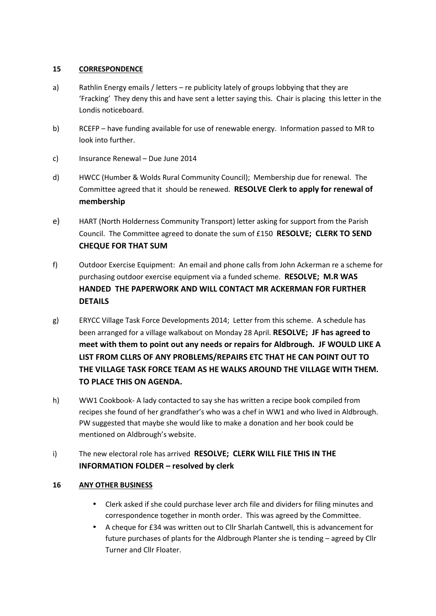#### **15 CORRESPONDENCE**

- a) Rathlin Energy emails / letters re publicity lately of groups lobbying that they are 'Fracking' They deny this and have sent a letter saying this. Chair is placing this letter in the Londis noticeboard.
- b) RCEFP have funding available for use of renewable energy. Information passed to MR to look into further.
- c) Insurance Renewal Due June 2014
- d) HWCC (Humber & Wolds Rural Community Council); Membership due for renewal. The Committee agreed that it should be renewed. **RESOLVE Clerk to apply for renewal of membership**
- e) HART (North Holderness Community Transport) letter asking for support from the Parish Council. The Committee agreed to donate the sum of £150 **RESOLVE; CLERK TO SEND CHEQUE FOR THAT SUM**
- f) Outdoor Exercise Equipment: An email and phone calls from John Ackerman re a scheme for purchasing outdoor exercise equipment via a funded scheme. **RESOLVE; M.R WAS HANDED THE PAPERWORK AND WILL CONTACT MR ACKERMAN FOR FURTHER DETAILS**
- g) ERYCC Village Task Force Developments 2014; Letter from this scheme. A schedule has been arranged for a village walkabout on Monday 28 April. **RESOLVE; JF has agreed to meet with them to point out any needs or repairs for Aldbrough. JF WOULD LIKE A LIST FROM CLLRS OF ANY PROBLEMS/REPAIRS ETC THAT HE CAN POINT OUT TO THE VILLAGE TASK FORCE TEAM AS HE WALKS AROUND THE VILLAGE WITH THEM. TO PLACE THIS ON AGENDA.**
- h) WW1 Cookbook- A lady contacted to say she has written a recipe book compiled from recipes she found of her grandfather's who was a chef in WW1 and who lived in Aldbrough. PW suggested that maybe she would like to make a donation and her book could be mentioned on Aldbrough's website.
- i) The new electoral role has arrived **RESOLVE; CLERK WILL FILE THIS IN THE INFORMATION FOLDER – resolved by clerk**

# **16 ANY OTHER BUSINESS**

- Clerk asked if she could purchase lever arch file and dividers for filing minutes and correspondence together in month order. This was agreed by the Committee.
- A cheque for £34 was written out to Cllr Sharlah Cantwell, this is advancement for future purchases of plants for the Aldbrough Planter she is tending – agreed by Cllr Turner and Cllr Floater.